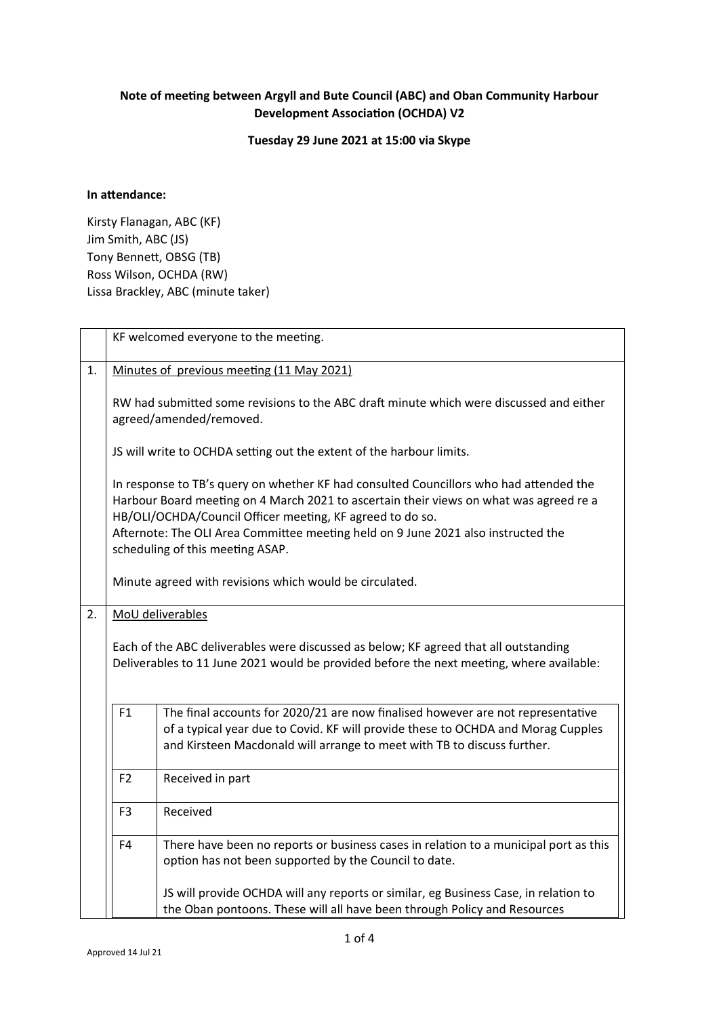## **Note of meeting between Argyll and Bute Council (ABC) and Oban Community Harbour Development Association (OCHDA) V2**

**Tuesday 29 June 2021 at 15:00 via Skype**

## **In attendance:**

Kirsty Flanagan, ABC (KF) Jim Smith, ABC (JS) Tony Bennett, OBSG (TB) Ross Wilson, OCHDA (RW) Lissa Brackley, ABC (minute taker)

|                                                                        |                                                                                                                                                                                                                                                                                                                                                                        | KF welcomed everyone to the meeting.                                                                                                                                                                                                           |  |  |  |  |
|------------------------------------------------------------------------|------------------------------------------------------------------------------------------------------------------------------------------------------------------------------------------------------------------------------------------------------------------------------------------------------------------------------------------------------------------------|------------------------------------------------------------------------------------------------------------------------------------------------------------------------------------------------------------------------------------------------|--|--|--|--|
| 1.                                                                     | Minutes of previous meeting (11 May 2021)                                                                                                                                                                                                                                                                                                                              |                                                                                                                                                                                                                                                |  |  |  |  |
|                                                                        | RW had submitted some revisions to the ABC draft minute which were discussed and either<br>agreed/amended/removed.                                                                                                                                                                                                                                                     |                                                                                                                                                                                                                                                |  |  |  |  |
|                                                                        |                                                                                                                                                                                                                                                                                                                                                                        | JS will write to OCHDA setting out the extent of the harbour limits.                                                                                                                                                                           |  |  |  |  |
|                                                                        | In response to TB's query on whether KF had consulted Councillors who had attended the<br>Harbour Board meeting on 4 March 2021 to ascertain their views on what was agreed re a<br>HB/OLI/OCHDA/Council Officer meeting, KF agreed to do so.<br>Afternote: The OLI Area Committee meeting held on 9 June 2021 also instructed the<br>scheduling of this meeting ASAP. |                                                                                                                                                                                                                                                |  |  |  |  |
|                                                                        | Minute agreed with revisions which would be circulated.                                                                                                                                                                                                                                                                                                                |                                                                                                                                                                                                                                                |  |  |  |  |
| 2.                                                                     | MoU deliverables<br>Each of the ABC deliverables were discussed as below; KF agreed that all outstanding<br>Deliverables to 11 June 2021 would be provided before the next meeting, where available:                                                                                                                                                                   |                                                                                                                                                                                                                                                |  |  |  |  |
| F1<br>Received in part<br>F <sub>2</sub><br>Received<br>F <sub>3</sub> |                                                                                                                                                                                                                                                                                                                                                                        | The final accounts for 2020/21 are now finalised however are not representative<br>of a typical year due to Covid. KF will provide these to OCHDA and Morag Cupples<br>and Kirsteen Macdonald will arrange to meet with TB to discuss further. |  |  |  |  |
|                                                                        |                                                                                                                                                                                                                                                                                                                                                                        |                                                                                                                                                                                                                                                |  |  |  |  |
|                                                                        |                                                                                                                                                                                                                                                                                                                                                                        |                                                                                                                                                                                                                                                |  |  |  |  |
|                                                                        | F4                                                                                                                                                                                                                                                                                                                                                                     | There have been no reports or business cases in relation to a municipal port as this<br>option has not been supported by the Council to date.                                                                                                  |  |  |  |  |
|                                                                        |                                                                                                                                                                                                                                                                                                                                                                        | JS will provide OCHDA will any reports or similar, eg Business Case, in relation to<br>the Oban pontoons. These will all have been through Policy and Resources                                                                                |  |  |  |  |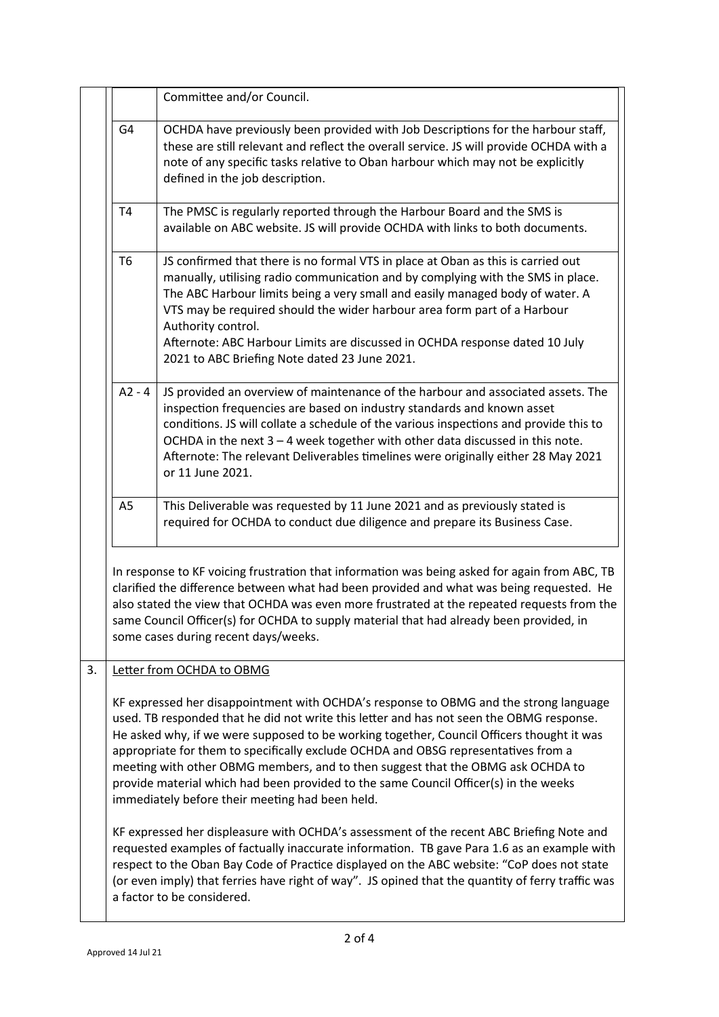|                                                                                                                                                                                                                                                                                                                                                                                                                                                                                                                                                                                                    |                                                                                                                                                                                                                                                                                                                                                                                                                            | Committee and/or Council.                                                                                                                                                                                                                                                                                                                                                                                                                                                              |  |  |  |
|----------------------------------------------------------------------------------------------------------------------------------------------------------------------------------------------------------------------------------------------------------------------------------------------------------------------------------------------------------------------------------------------------------------------------------------------------------------------------------------------------------------------------------------------------------------------------------------------------|----------------------------------------------------------------------------------------------------------------------------------------------------------------------------------------------------------------------------------------------------------------------------------------------------------------------------------------------------------------------------------------------------------------------------|----------------------------------------------------------------------------------------------------------------------------------------------------------------------------------------------------------------------------------------------------------------------------------------------------------------------------------------------------------------------------------------------------------------------------------------------------------------------------------------|--|--|--|
|                                                                                                                                                                                                                                                                                                                                                                                                                                                                                                                                                                                                    | G4                                                                                                                                                                                                                                                                                                                                                                                                                         | OCHDA have previously been provided with Job Descriptions for the harbour staff,<br>these are still relevant and reflect the overall service. JS will provide OCHDA with a<br>note of any specific tasks relative to Oban harbour which may not be explicitly<br>defined in the job description.                                                                                                                                                                                       |  |  |  |
|                                                                                                                                                                                                                                                                                                                                                                                                                                                                                                                                                                                                    | <b>T4</b>                                                                                                                                                                                                                                                                                                                                                                                                                  | The PMSC is regularly reported through the Harbour Board and the SMS is<br>available on ABC website. JS will provide OCHDA with links to both documents.                                                                                                                                                                                                                                                                                                                               |  |  |  |
|                                                                                                                                                                                                                                                                                                                                                                                                                                                                                                                                                                                                    | <b>T6</b>                                                                                                                                                                                                                                                                                                                                                                                                                  | JS confirmed that there is no formal VTS in place at Oban as this is carried out<br>manually, utilising radio communication and by complying with the SMS in place.<br>The ABC Harbour limits being a very small and easily managed body of water. A<br>VTS may be required should the wider harbour area form part of a Harbour<br>Authority control.<br>Afternote: ABC Harbour Limits are discussed in OCHDA response dated 10 July<br>2021 to ABC Briefing Note dated 23 June 2021. |  |  |  |
|                                                                                                                                                                                                                                                                                                                                                                                                                                                                                                                                                                                                    | $A2 - 4$                                                                                                                                                                                                                                                                                                                                                                                                                   | JS provided an overview of maintenance of the harbour and associated assets. The<br>inspection frequencies are based on industry standards and known asset<br>conditions. JS will collate a schedule of the various inspections and provide this to<br>OCHDA in the next $3 - 4$ week together with other data discussed in this note.<br>Afternote: The relevant Deliverables timelines were originally either 28 May 2021<br>or 11 June 2021.                                        |  |  |  |
|                                                                                                                                                                                                                                                                                                                                                                                                                                                                                                                                                                                                    | A <sub>5</sub>                                                                                                                                                                                                                                                                                                                                                                                                             | This Deliverable was requested by 11 June 2021 and as previously stated is<br>required for OCHDA to conduct due diligence and prepare its Business Case.                                                                                                                                                                                                                                                                                                                               |  |  |  |
|                                                                                                                                                                                                                                                                                                                                                                                                                                                                                                                                                                                                    | In response to KF voicing frustration that information was being asked for again from ABC, TB<br>clarified the difference between what had been provided and what was being requested. He<br>also stated the view that OCHDA was even more frustrated at the repeated requests from the<br>same Council Officer(s) for OCHDA to supply material that had already been provided, in<br>some cases during recent days/weeks. |                                                                                                                                                                                                                                                                                                                                                                                                                                                                                        |  |  |  |
| 3.                                                                                                                                                                                                                                                                                                                                                                                                                                                                                                                                                                                                 |                                                                                                                                                                                                                                                                                                                                                                                                                            | Letter from OCHDA to OBMG                                                                                                                                                                                                                                                                                                                                                                                                                                                              |  |  |  |
| KF expressed her disappointment with OCHDA's response to OBMG and the strong language<br>used. TB responded that he did not write this letter and has not seen the OBMG response.<br>He asked why, if we were supposed to be working together, Council Officers thought it was<br>appropriate for them to specifically exclude OCHDA and OBSG representatives from a<br>meeting with other OBMG members, and to then suggest that the OBMG ask OCHDA to<br>provide material which had been provided to the same Council Officer(s) in the weeks<br>immediately before their meeting had been held. |                                                                                                                                                                                                                                                                                                                                                                                                                            |                                                                                                                                                                                                                                                                                                                                                                                                                                                                                        |  |  |  |
|                                                                                                                                                                                                                                                                                                                                                                                                                                                                                                                                                                                                    | KF expressed her displeasure with OCHDA's assessment of the recent ABC Briefing Note and<br>requested examples of factually inaccurate information. TB gave Para 1.6 as an example with<br>respect to the Oban Bay Code of Practice displayed on the ABC website: "CoP does not state<br>(or even imply) that ferries have right of way". JS opined that the quantity of ferry traffic was<br>a factor to be considered.   |                                                                                                                                                                                                                                                                                                                                                                                                                                                                                        |  |  |  |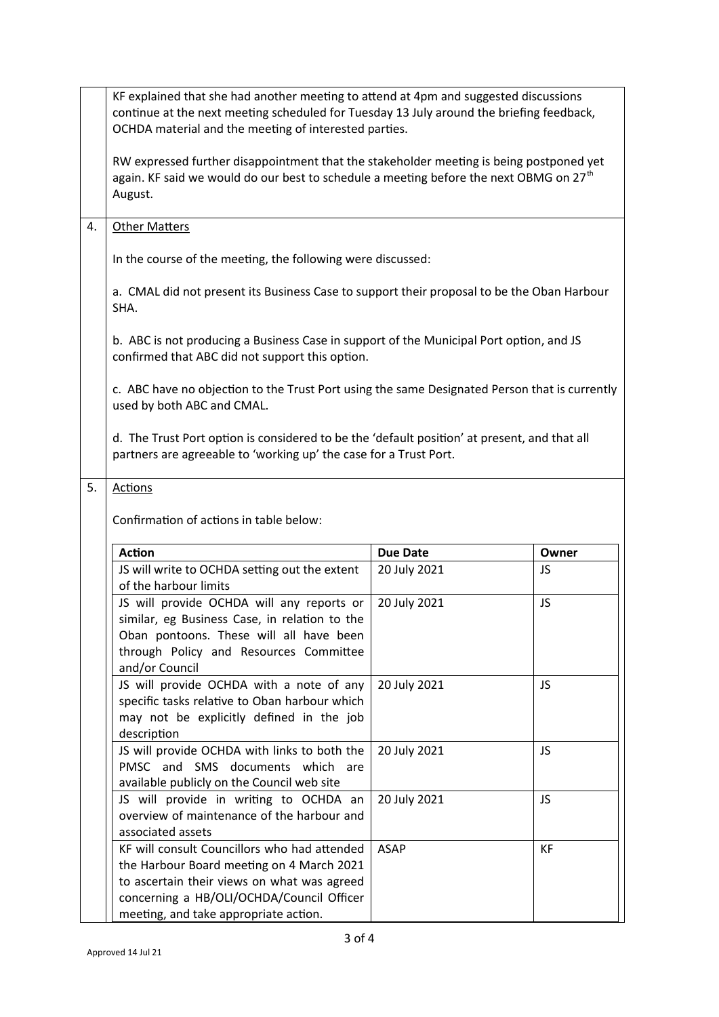|                      | KF explained that she had another meeting to attend at 4pm and suggested discussions<br>continue at the next meeting scheduled for Tuesday 13 July around the briefing feedback,<br>OCHDA material and the meeting of interested parties.<br>RW expressed further disappointment that the stakeholder meeting is being postponed yet |                 |           |  |  |
|----------------------|--------------------------------------------------------------------------------------------------------------------------------------------------------------------------------------------------------------------------------------------------------------------------------------------------------------------------------------|-----------------|-----------|--|--|
|                      | again. KF said we would do our best to schedule a meeting before the next OBMG on $27th$<br>August.                                                                                                                                                                                                                                  |                 |           |  |  |
| 4.                   | <b>Other Matters</b>                                                                                                                                                                                                                                                                                                                 |                 |           |  |  |
|                      | In the course of the meeting, the following were discussed:                                                                                                                                                                                                                                                                          |                 |           |  |  |
|                      | a. CMAL did not present its Business Case to support their proposal to be the Oban Harbour<br>SHA.<br>b. ABC is not producing a Business Case in support of the Municipal Port option, and JS<br>confirmed that ABC did not support this option.                                                                                     |                 |           |  |  |
|                      |                                                                                                                                                                                                                                                                                                                                      |                 |           |  |  |
|                      | c. ABC have no objection to the Trust Port using the same Designated Person that is currently<br>used by both ABC and CMAL.                                                                                                                                                                                                          |                 |           |  |  |
|                      | d. The Trust Port option is considered to be the 'default position' at present, and that all<br>partners are agreeable to 'working up' the case for a Trust Port.                                                                                                                                                                    |                 |           |  |  |
| 5.<br><b>Actions</b> |                                                                                                                                                                                                                                                                                                                                      |                 |           |  |  |
|                      | Confirmation of actions in table below:                                                                                                                                                                                                                                                                                              |                 |           |  |  |
|                      | <b>Action</b>                                                                                                                                                                                                                                                                                                                        | <b>Due Date</b> | Owner     |  |  |
|                      | JS will write to OCHDA setting out the extent<br>of the harbour limits                                                                                                                                                                                                                                                               | 20 July 2021    | JS        |  |  |
|                      | JS will provide OCHDA will any reports or<br>similar, eg Business Case, in relation to the<br>Oban pontoons. These will all have been<br>through Policy and Resources Committee<br>and/or Council                                                                                                                                    | 20 July 2021    | JS        |  |  |
|                      | JS will provide OCHDA with a note of any<br>specific tasks relative to Oban harbour which<br>may not be explicitly defined in the job<br>description                                                                                                                                                                                 | 20 July 2021    | <b>JS</b> |  |  |
|                      | JS will provide OCHDA with links to both the<br>PMSC and SMS documents which<br>are<br>available publicly on the Council web site                                                                                                                                                                                                    | 20 July 2021    | <b>JS</b> |  |  |
|                      | JS will provide in writing to OCHDA an<br>overview of maintenance of the harbour and<br>associated assets                                                                                                                                                                                                                            | 20 July 2021    | <b>JS</b> |  |  |
|                      | KF will consult Councillors who had attended<br>the Harbour Board meeting on 4 March 2021<br>to ascertain their views on what was agreed<br>concerning a HB/OLI/OCHDA/Council Officer<br>meeting, and take appropriate action.                                                                                                       | <b>ASAP</b>     | <b>KF</b> |  |  |